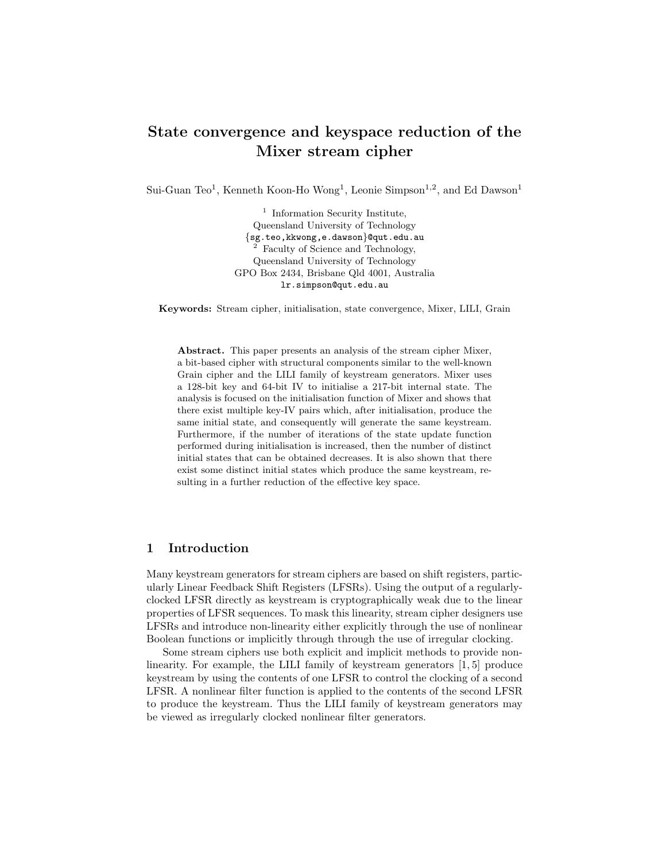# State convergence and keyspace reduction of the Mixer stream cipher

Sui-Guan Teo<sup>1</sup>, Kenneth Koon-Ho Wong<sup>1</sup>, Leonie Simpson<sup>1,2</sup>, and Ed Dawson<sup>1</sup>

<sup>1</sup> Information Security Institute, Queensland University of Technology {sg.teo,kkwong,e.dawson}@qut.edu.au Faculty of Science and Technology, Queensland University of Technology GPO Box 2434, Brisbane Qld 4001, Australia lr.simpson@qut.edu.au

Keywords: Stream cipher, initialisation, state convergence, Mixer, LILI, Grain

Abstract. This paper presents an analysis of the stream cipher Mixer, a bit-based cipher with structural components similar to the well-known Grain cipher and the LILI family of keystream generators. Mixer uses a 128-bit key and 64-bit IV to initialise a 217-bit internal state. The analysis is focused on the initialisation function of Mixer and shows that there exist multiple key-IV pairs which, after initialisation, produce the same initial state, and consequently will generate the same keystream. Furthermore, if the number of iterations of the state update function performed during initialisation is increased, then the number of distinct initial states that can be obtained decreases. It is also shown that there exist some distinct initial states which produce the same keystream, resulting in a further reduction of the effective key space.

# 1 Introduction

Many keystream generators for stream ciphers are based on shift registers, particularly Linear Feedback Shift Registers (LFSRs). Using the output of a regularlyclocked LFSR directly as keystream is cryptographically weak due to the linear properties of LFSR sequences. To mask this linearity, stream cipher designers use LFSRs and introduce non-linearity either explicitly through the use of nonlinear Boolean functions or implicitly through through the use of irregular clocking.

Some stream ciphers use both explicit and implicit methods to provide nonlinearity. For example, the LILI family of keystream generators [1, 5] produce keystream by using the contents of one LFSR to control the clocking of a second LFSR. A nonlinear filter function is applied to the contents of the second LFSR to produce the keystream. Thus the LILI family of keystream generators may be viewed as irregularly clocked nonlinear filter generators.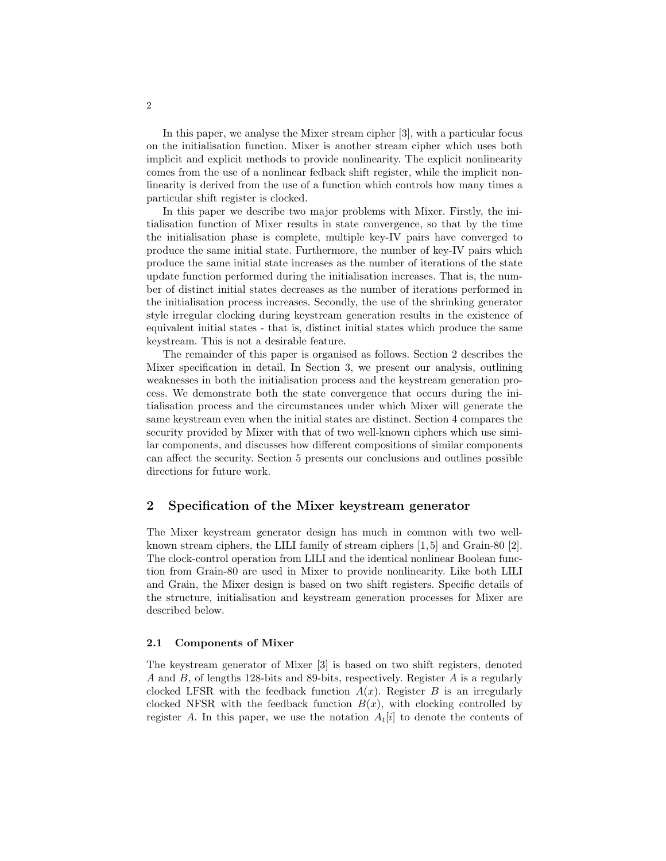In this paper, we analyse the Mixer stream cipher [3], with a particular focus on the initialisation function. Mixer is another stream cipher which uses both implicit and explicit methods to provide nonlinearity. The explicit nonlinearity comes from the use of a nonlinear fedback shift register, while the implicit nonlinearity is derived from the use of a function which controls how many times a particular shift register is clocked.

In this paper we describe two major problems with Mixer. Firstly, the initialisation function of Mixer results in state convergence, so that by the time the initialisation phase is complete, multiple key-IV pairs have converged to produce the same initial state. Furthermore, the number of key-IV pairs which produce the same initial state increases as the number of iterations of the state update function performed during the initialisation increases. That is, the number of distinct initial states decreases as the number of iterations performed in the initialisation process increases. Secondly, the use of the shrinking generator style irregular clocking during keystream generation results in the existence of equivalent initial states - that is, distinct initial states which produce the same keystream. This is not a desirable feature.

The remainder of this paper is organised as follows. Section 2 describes the Mixer specification in detail. In Section 3, we present our analysis, outlining weaknesses in both the initialisation process and the keystream generation process. We demonstrate both the state convergence that occurs during the initialisation process and the circumstances under which Mixer will generate the same keystream even when the initial states are distinct. Section 4 compares the security provided by Mixer with that of two well-known ciphers which use similar components, and discusses how different compositions of similar components can affect the security. Section 5 presents our conclusions and outlines possible directions for future work.

# 2 Specification of the Mixer keystream generator

The Mixer keystream generator design has much in common with two wellknown stream ciphers, the LILI family of stream ciphers [1, 5] and Grain-80 [2]. The clock-control operation from LILI and the identical nonlinear Boolean function from Grain-80 are used in Mixer to provide nonlinearity. Like both LILI and Grain, the Mixer design is based on two shift registers. Specific details of the structure, initialisation and keystream generation processes for Mixer are described below.

#### 2.1 Components of Mixer

The keystream generator of Mixer [3] is based on two shift registers, denoted A and B, of lengths 128-bits and 89-bits, respectively. Register A is a regularly clocked LFSR with the feedback function  $A(x)$ . Register B is an irregularly clocked NFSR with the feedback function  $B(x)$ , with clocking controlled by register A. In this paper, we use the notation  $A_t[i]$  to denote the contents of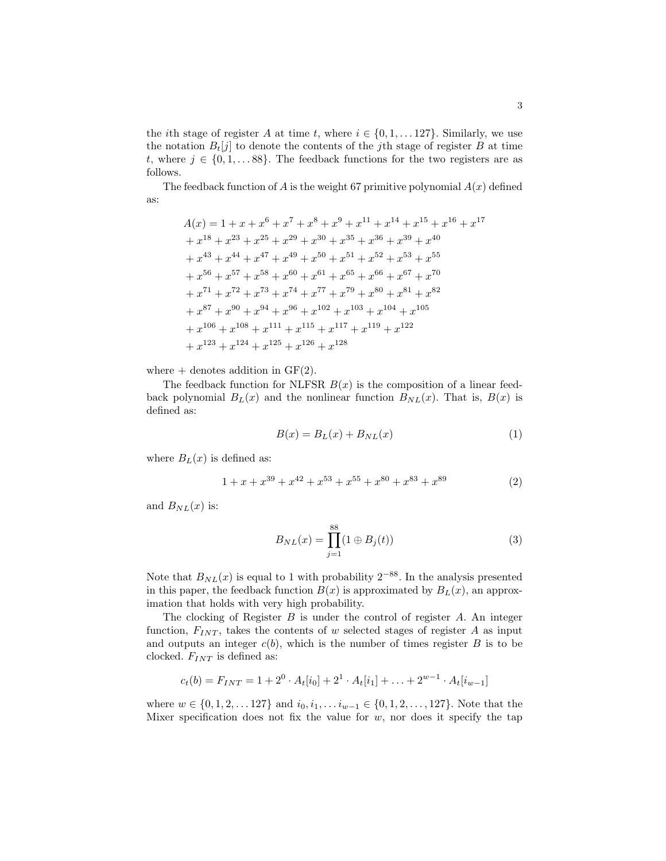the *i*th stage of register A at time t, where  $i \in \{0, 1, \ldots 127\}$ . Similarly, we use the notation  $B_t[j]$  to denote the contents of the jth stage of register B at time t, where  $j \in \{0, 1, \ldots 88\}$ . The feedback functions for the two registers are as follows.

The feedback function of A is the weight 67 primitive polynomial  $A(x)$  defined as:

$$
A(x) = 1 + x + x^{6} + x^{7} + x^{8} + x^{9} + x^{11} + x^{14} + x^{15} + x^{16} + x^{17}
$$
  
+ 
$$
x^{18} + x^{23} + x^{25} + x^{29} + x^{30} + x^{35} + x^{36} + x^{39} + x^{40}
$$
  
+ 
$$
x^{43} + x^{44} + x^{47} + x^{49} + x^{50} + x^{51} + x^{52} + x^{53} + x^{55}
$$
  
+ 
$$
x^{56} + x^{57} + x^{58} + x^{60} + x^{61} + x^{65} + x^{66} + x^{67} + x^{70}
$$
  
+ 
$$
x^{71} + x^{72} + x^{73} + x^{74} + x^{77} + x^{79} + x^{80} + x^{81} + x^{82}
$$
  
+ 
$$
x^{87} + x^{90} + x^{94} + x^{96} + x^{102} + x^{103} + x^{104} + x^{105}
$$
  
+ 
$$
x^{106} + x^{108} + x^{111} + x^{115} + x^{117} + x^{119} + x^{122}
$$
  
+ 
$$
x^{123} + x^{124} + x^{125} + x^{126} + x^{128}
$$

where  $+$  denotes addition in  $GF(2)$ .

The feedback function for NLFSR  $B(x)$  is the composition of a linear feedback polynomial  $B_L(x)$  and the nonlinear function  $B_{NL}(x)$ . That is,  $B(x)$  is defined as:

$$
B(x) = B_L(x) + B_{NL}(x) \tag{1}
$$

where  $B_L(x)$  is defined as:

$$
1 + x + x^{39} + x^{42} + x^{53} + x^{55} + x^{80} + x^{83} + x^{89}
$$
 (2)

and  $B_{NL}(x)$  is:

$$
B_{NL}(x) = \prod_{j=1}^{88} (1 \oplus B_j(t))
$$
 (3)

Note that  $B_{NL}(x)$  is equal to 1 with probability  $2^{-88}$ . In the analysis presented in this paper, the feedback function  $B(x)$  is approximated by  $B<sub>L</sub>(x)$ , an approximation that holds with very high probability.

The clocking of Register  $B$  is under the control of register  $A$ . An integer function,  $F_{INT}$ , takes the contents of w selected stages of register A as input and outputs an integer  $c(b)$ , which is the number of times register B is to be clocked.  $F_{INT}$  is defined as:

$$
c_t(b) = F_{INT} = 1 + 2^0 \cdot A_t[i_0] + 2^1 \cdot A_t[i_1] + \ldots + 2^{w-1} \cdot A_t[i_{w-1}]
$$

where  $w \in \{0, 1, 2, \ldots 127\}$  and  $i_0, i_1, \ldots i_{w-1} \in \{0, 1, 2, \ldots, 127\}$ . Note that the Mixer specification does not fix the value for  $w$ , nor does it specify the tap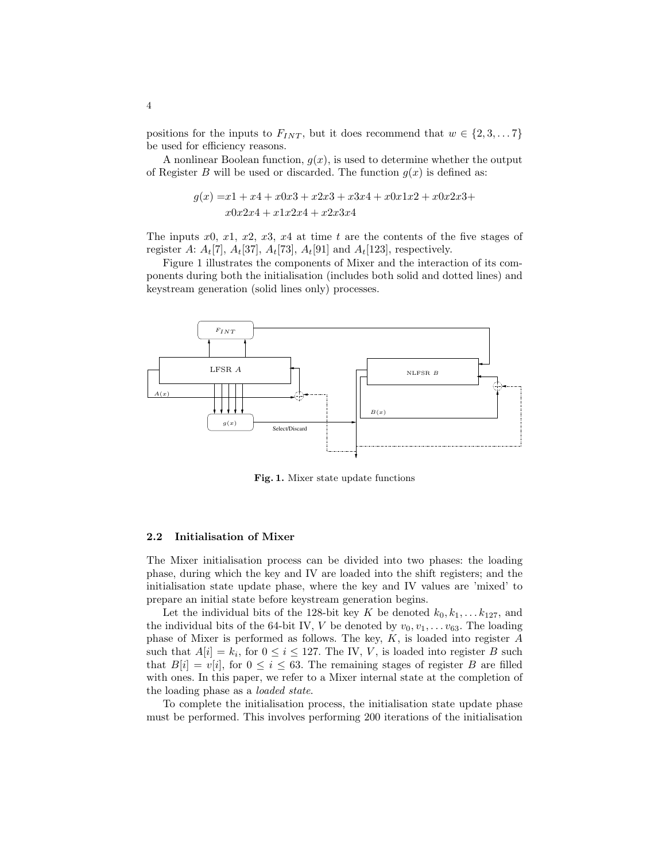positions for the inputs to  $F_{INT}$ , but it does recommend that  $w \in \{2, 3, \ldots 7\}$ be used for efficiency reasons.

A nonlinear Boolean function,  $g(x)$ , is used to determine whether the output of Register B will be used or discarded. The function  $g(x)$  is defined as:

$$
g(x) = x1 + x4 + x0x3 + x2x3 + x3x4 + x0x1x2 + x0x2x3 + x0x2x4 + x1x2x4 + x2x3x4
$$

The inputs  $x_0$ ,  $x_1$ ,  $x_2$ ,  $x_3$ ,  $x_4$  at time t are the contents of the five stages of register A:  $A_t[7]$ ,  $A_t[37]$ ,  $A_t[73]$ ,  $A_t[91]$  and  $A_t[123]$ , respectively.

Figure 1 illustrates the components of Mixer and the interaction of its components during both the initialisation (includes both solid and dotted lines) and keystream generation (solid lines only) processes.



Fig. 1. Mixer state update functions

#### 2.2 Initialisation of Mixer

The Mixer initialisation process can be divided into two phases: the loading phase, during which the key and IV are loaded into the shift registers; and the initialisation state update phase, where the key and IV values are 'mixed' to prepare an initial state before keystream generation begins.

Let the individual bits of the 128-bit key K be denoted  $k_0, k_1, \ldots k_{127}$ , and the individual bits of the 64-bit IV, V be denoted by  $v_0, v_1, \ldots v_{63}$ . The loading phase of Mixer is performed as follows. The key,  $K$ , is loaded into register  $A$ such that  $A[i] = k_i$ , for  $0 \le i \le 127$ . The IV, V, is loaded into register B such that  $B[i] = v[i]$ , for  $0 \le i \le 63$ . The remaining stages of register B are filled with ones. In this paper, we refer to a Mixer internal state at the completion of the loading phase as a loaded state.

To complete the initialisation process, the initialisation state update phase must be performed. This involves performing 200 iterations of the initialisation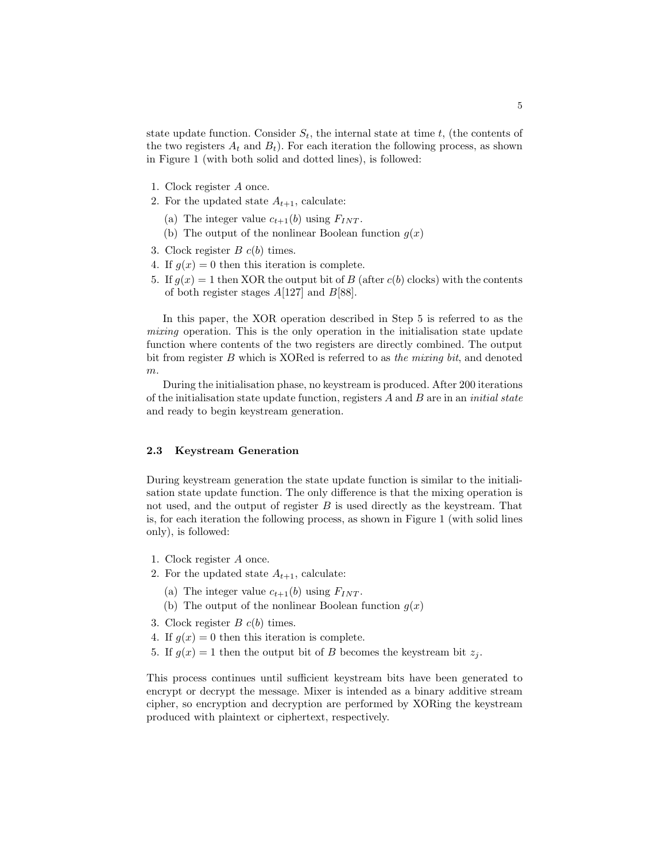state update function. Consider  $S_t$ , the internal state at time t, (the contents of the two registers  $A_t$  and  $B_t$ ). For each iteration the following process, as shown in Figure 1 (with both solid and dotted lines), is followed:

- 1. Clock register A once.
- 2. For the updated state  $A_{t+1}$ , calculate:
	- (a) The integer value  $c_{t+1}(b)$  using  $F_{INT}$ .
	- (b) The output of the nonlinear Boolean function  $g(x)$
- 3. Clock register  $B\ c(b)$  times.
- 4. If  $q(x) = 0$  then this iteration is complete.
- 5. If  $g(x) = 1$  then XOR the output bit of B (after  $c(b)$  clocks) with the contents of both register stages  $A[127]$  and  $B[88]$ .

In this paper, the XOR operation described in Step 5 is referred to as the mixing operation. This is the only operation in the initialisation state update function where contents of the two registers are directly combined. The output bit from register  $B$  which is XORed is referred to as the mixing bit, and denoted m.

During the initialisation phase, no keystream is produced. After 200 iterations of the initialisation state update function, registers  $A$  and  $B$  are in an *initial state* and ready to begin keystream generation.

#### 2.3 Keystream Generation

During keystream generation the state update function is similar to the initialisation state update function. The only difference is that the mixing operation is not used, and the output of register  $B$  is used directly as the keystream. That is, for each iteration the following process, as shown in Figure 1 (with solid lines only), is followed:

- 1. Clock register A once.
- 2. For the updated state  $A_{t+1}$ , calculate:
	- (a) The integer value  $c_{t+1}(b)$  using  $F_{INT}$ .
	- (b) The output of the nonlinear Boolean function  $q(x)$
- 3. Clock register  $B\ c(b)$  times.
- 4. If  $g(x) = 0$  then this iteration is complete.
- 5. If  $g(x) = 1$  then the output bit of B becomes the keystream bit  $z_j$ .

This process continues until sufficient keystream bits have been generated to encrypt or decrypt the message. Mixer is intended as a binary additive stream cipher, so encryption and decryption are performed by XORing the keystream produced with plaintext or ciphertext, respectively.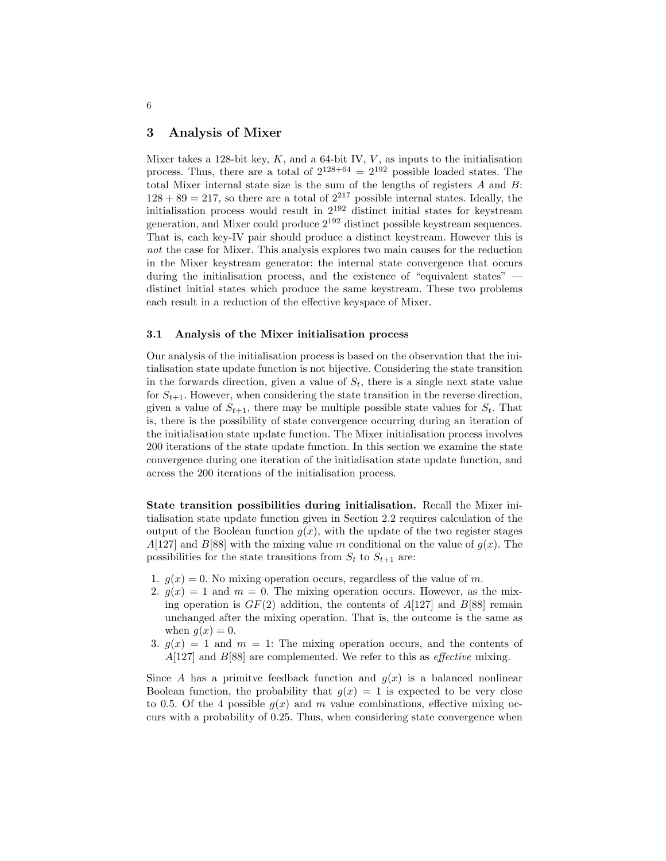#### 3 Analysis of Mixer

Mixer takes a 128-bit key,  $K$ , and a 64-bit IV,  $V$ , as inputs to the initialisation process. Thus, there are a total of  $2^{128+64} = 2^{192}$  possible loaded states. The total Mixer internal state size is the sum of the lengths of registers  $A$  and  $B$ :  $128 + 89 = 217$ , so there are a total of  $2^{217}$  possible internal states. Ideally, the initialisation process would result in  $2^{192}$  distinct initial states for keystream generation, and Mixer could produce 2<sup>192</sup> distinct possible keystream sequences. That is, each key-IV pair should produce a distinct keystream. However this is not the case for Mixer. This analysis explores two main causes for the reduction in the Mixer keystream generator: the internal state convergence that occurs during the initialisation process, and the existence of "equivalent states" distinct initial states which produce the same keystream. These two problems each result in a reduction of the effective keyspace of Mixer.

#### 3.1 Analysis of the Mixer initialisation process

Our analysis of the initialisation process is based on the observation that the initialisation state update function is not bijective. Considering the state transition in the forwards direction, given a value of  $S_t$ , there is a single next state value for  $S_{t+1}$ . However, when considering the state transition in the reverse direction, given a value of  $S_{t+1}$ , there may be multiple possible state values for  $S_t$ . That is, there is the possibility of state convergence occurring during an iteration of the initialisation state update function. The Mixer initialisation process involves 200 iterations of the state update function. In this section we examine the state convergence during one iteration of the initialisation state update function, and across the 200 iterations of the initialisation process.

State transition possibilities during initialisation. Recall the Mixer initialisation state update function given in Section 2.2 requires calculation of the output of the Boolean function  $g(x)$ , with the update of the two register stages  $A[127]$  and  $B[88]$  with the mixing value m conditional on the value of  $g(x)$ . The possibilities for the state transitions from  $S_t$  to  $S_{t+1}$  are:

- 1.  $g(x) = 0$ . No mixing operation occurs, regardless of the value of m.
- 2.  $g(x) = 1$  and  $m = 0$ . The mixing operation occurs. However, as the mixing operation is  $GF(2)$  addition, the contents of  $A[127]$  and  $B[88]$  remain unchanged after the mixing operation. That is, the outcome is the same as when  $q(x) = 0$ .
- 3.  $g(x) = 1$  and  $m = 1$ : The mixing operation occurs, and the contents of  $A[127]$  and  $B[88]$  are complemented. We refer to this as *effective* mixing.

Since A has a primit e feedback function and  $g(x)$  is a balanced nonlinear Boolean function, the probability that  $q(x) = 1$  is expected to be very close to 0.5. Of the 4 possible  $g(x)$  and m value combinations, effective mixing occurs with a probability of 0.25. Thus, when considering state convergence when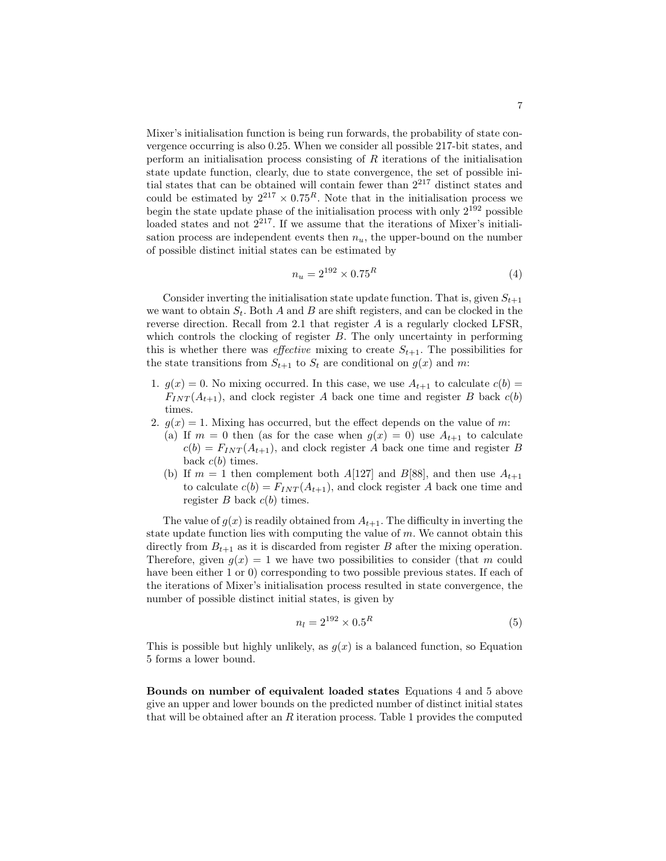Mixer's initialisation function is being run forwards, the probability of state convergence occurring is also 0.25. When we consider all possible 217-bit states, and perform an initialisation process consisting of R iterations of the initialisation state update function, clearly, due to state convergence, the set of possible initial states that can be obtained will contain fewer than  $2^{217}$  distinct states and could be estimated by  $2^{217} \times 0.75^R$ . Note that in the initialisation process we begin the state update phase of the initialisation process with only  $2^{192}$  possible loaded states and not  $2^{217}$ . If we assume that the iterations of Mixer's initialisation process are independent events then  $n<sub>u</sub>$ , the upper-bound on the number of possible distinct initial states can be estimated by

$$
n_u = 2^{192} \times 0.75^R \tag{4}
$$

Consider inverting the initialisation state update function. That is, given  $S_{t+1}$ we want to obtain  $S_t$ . Both A and B are shift registers, and can be clocked in the reverse direction. Recall from 2.1 that register  $A$  is a regularly clocked LFSR, which controls the clocking of register  $B$ . The only uncertainty in performing this is whether there was *effective* mixing to create  $S_{t+1}$ . The possibilities for the state transitions from  $S_{t+1}$  to  $S_t$  are conditional on  $g(x)$  and m:

- 1.  $g(x) = 0$ . No mixing occurred. In this case, we use  $A_{t+1}$  to calculate  $c(b) =$  $F_{INT}(A_{t+1})$ , and clock register A back one time and register B back  $c(b)$ times.
- 2.  $g(x) = 1$ . Mixing has occurred, but the effect depends on the value of m:
	- (a) If  $m = 0$  then (as for the case when  $g(x) = 0$ ) use  $A_{t+1}$  to calculate  $c(b) = F_{INT}(A_{t+1})$ , and clock register A back one time and register B back  $c(b)$  times.
	- (b) If  $m = 1$  then complement both A[127] and B[88], and then use  $A_{t+1}$ to calculate  $c(b) = F_{INT}(A_{t+1})$ , and clock register A back one time and register B back  $c(b)$  times.

The value of  $g(x)$  is readily obtained from  $A_{t+1}$ . The difficulty in inverting the state update function lies with computing the value of  $m$ . We cannot obtain this directly from  $B_{t+1}$  as it is discarded from register B after the mixing operation. Therefore, given  $g(x) = 1$  we have two possibilities to consider (that m could have been either 1 or 0) corresponding to two possible previous states. If each of the iterations of Mixer's initialisation process resulted in state convergence, the number of possible distinct initial states, is given by

$$
n_l = 2^{192} \times 0.5^R \tag{5}
$$

This is possible but highly unlikely, as  $g(x)$  is a balanced function, so Equation 5 forms a lower bound.

Bounds on number of equivalent loaded states Equations 4 and 5 above give an upper and lower bounds on the predicted number of distinct initial states that will be obtained after an  $R$  iteration process. Table 1 provides the computed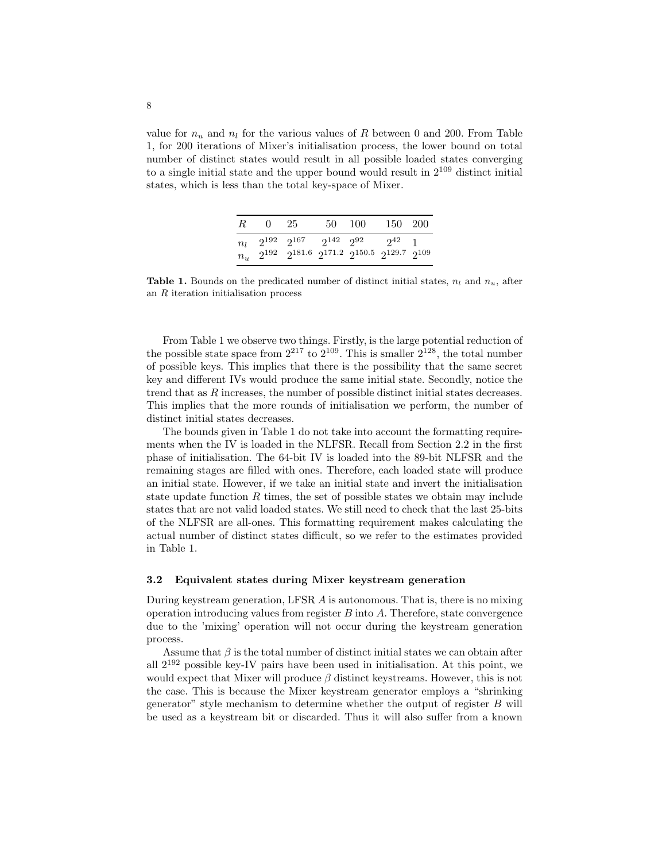value for  $n_u$  and  $n_l$  for the various values of R between 0 and 200. From Table 1, for 200 iterations of Mixer's initialisation process, the lower bound on total number of distinct states would result in all possible loaded states converging to a single initial state and the upper bound would result in  $2^{109}$  distinct initial states, which is less than the total key-space of Mixer.

| $R=0=25$ |                                                                                                                                      |  | 50 100 150 200 |  |
|----------|--------------------------------------------------------------------------------------------------------------------------------------|--|----------------|--|
|          | $n_l$ $2^{192}$ $2^{167}$ $2^{142}$ $2^{92}$ $2^{42}$ 1<br>$n_u$ $2^{192}$ $2^{181.6}$ $2^{171.2}$ $2^{150.5}$ $2^{129.7}$ $2^{109}$ |  |                |  |

**Table 1.** Bounds on the predicated number of distinct initial states,  $n_l$  and  $n_u$ , after an R iteration initialisation process

From Table 1 we observe two things. Firstly, is the large potential reduction of the possible state space from  $2^{217}$  to  $2^{109}$ . This is smaller  $2^{128}$ , the total number of possible keys. This implies that there is the possibility that the same secret key and different IVs would produce the same initial state. Secondly, notice the trend that as R increases, the number of possible distinct initial states decreases. This implies that the more rounds of initialisation we perform, the number of distinct initial states decreases.

The bounds given in Table 1 do not take into account the formatting requirements when the IV is loaded in the NLFSR. Recall from Section 2.2 in the first phase of initialisation. The 64-bit IV is loaded into the 89-bit NLFSR and the remaining stages are filled with ones. Therefore, each loaded state will produce an initial state. However, if we take an initial state and invert the initialisation state update function  $R$  times, the set of possible states we obtain may include states that are not valid loaded states. We still need to check that the last 25-bits of the NLFSR are all-ones. This formatting requirement makes calculating the actual number of distinct states difficult, so we refer to the estimates provided in Table 1.

#### 3.2 Equivalent states during Mixer keystream generation

During keystream generation, LFSR  $\tilde{A}$  is autonomous. That is, there is no mixing operation introducing values from register  $B$  into  $A$ . Therefore, state convergence due to the 'mixing' operation will not occur during the keystream generation process.

Assume that  $\beta$  is the total number of distinct initial states we can obtain after all 2<sup>192</sup> possible key-IV pairs have been used in initialisation. At this point, we would expect that Mixer will produce  $\beta$  distinct keystreams. However, this is not the case. This is because the Mixer keystream generator employs a "shrinking generator" style mechanism to determine whether the output of register  $B$  will be used as a keystream bit or discarded. Thus it will also suffer from a known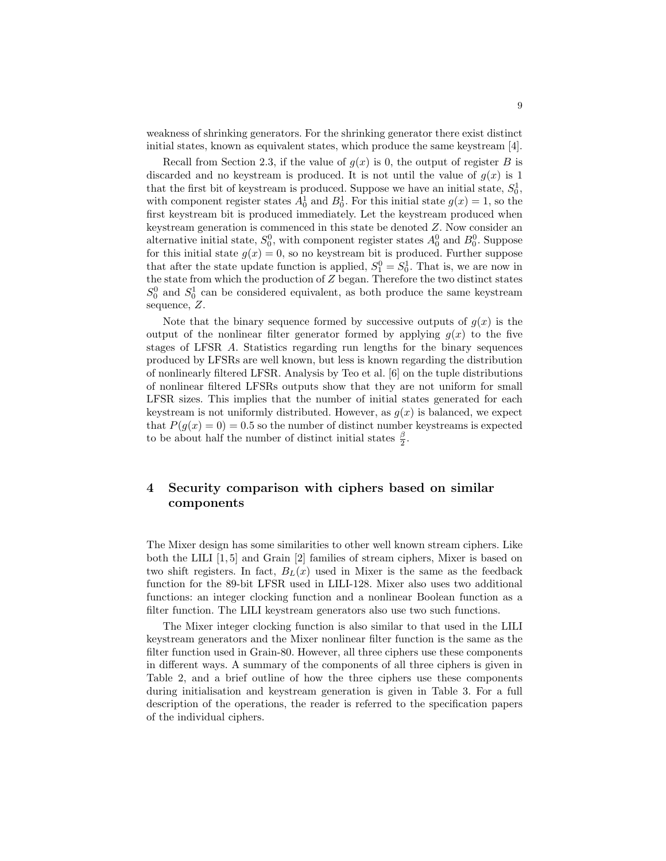weakness of shrinking generators. For the shrinking generator there exist distinct initial states, known as equivalent states, which produce the same keystream [4].

Recall from Section 2.3, if the value of  $g(x)$  is 0, the output of register B is discarded and no keystream is produced. It is not until the value of  $g(x)$  is 1 that the first bit of keystream is produced. Suppose we have an initial state,  $S_0^1$ , with component register states  $A_0^1$  and  $B_0^1$ . For this initial state  $g(x) = 1$ , so the first keystream bit is produced immediately. Let the keystream produced when keystream generation is commenced in this state be denoted Z. Now consider an alternative initial state,  $S_0^0$ , with component register states  $A_0^0$  and  $B_0^0$ . Suppose for this initial state  $g(x) = 0$ , so no keystream bit is produced. Further suppose that after the state update function is applied,  $S_1^0 = S_0^1$ . That is, we are now in the state from which the production of Z began. Therefore the two distinct states  $S_0^0$  and  $S_0^1$  can be considered equivalent, as both produce the same keystream sequence, Z.

Note that the binary sequence formed by successive outputs of  $q(x)$  is the output of the nonlinear filter generator formed by applying  $g(x)$  to the five stages of LFSR A. Statistics regarding run lengths for the binary sequences produced by LFSRs are well known, but less is known regarding the distribution of nonlinearly filtered LFSR. Analysis by Teo et al. [6] on the tuple distributions of nonlinear filtered LFSRs outputs show that they are not uniform for small LFSR sizes. This implies that the number of initial states generated for each keystream is not uniformly distributed. However, as  $g(x)$  is balanced, we expect that  $P(g(x) = 0) = 0.5$  so the number of distinct number keystreams is expected to be about half the number of distinct initial states  $\frac{\beta}{2}$ .

# 4 Security comparison with ciphers based on similar components

The Mixer design has some similarities to other well known stream ciphers. Like both the LILI [1, 5] and Grain [2] families of stream ciphers, Mixer is based on two shift registers. In fact,  $B_L(x)$  used in Mixer is the same as the feedback function for the 89-bit LFSR used in LILI-128. Mixer also uses two additional functions: an integer clocking function and a nonlinear Boolean function as a filter function. The LILI keystream generators also use two such functions.

The Mixer integer clocking function is also similar to that used in the LILI keystream generators and the Mixer nonlinear filter function is the same as the filter function used in Grain-80. However, all three ciphers use these components in different ways. A summary of the components of all three ciphers is given in Table 2, and a brief outline of how the three ciphers use these components during initialisation and keystream generation is given in Table 3. For a full description of the operations, the reader is referred to the specification papers of the individual ciphers.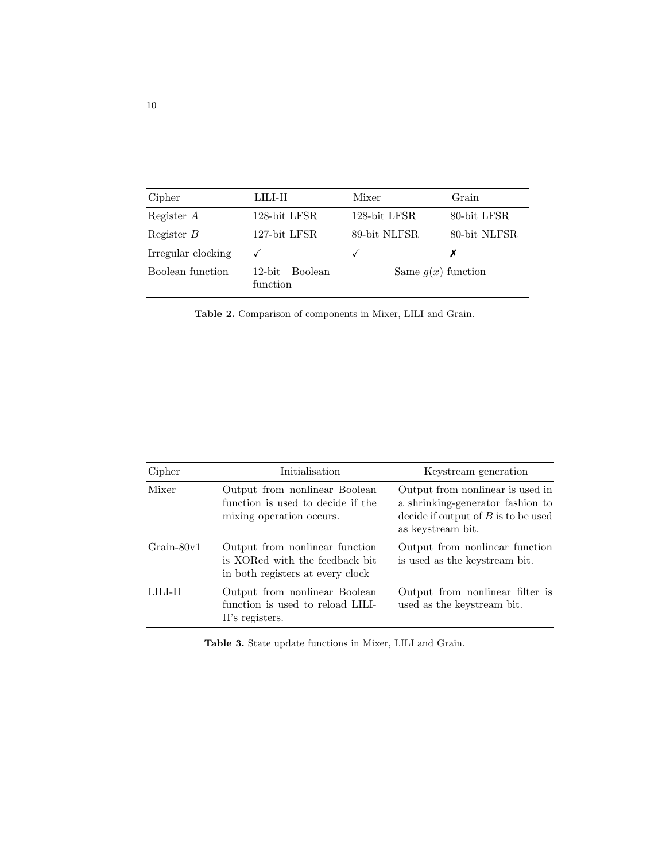| Cipher             | ЕНЕ-Н                      | Mixer                | Grain        |
|--------------------|----------------------------|----------------------|--------------|
| Register $A$       | 128-bit LFSR               | 128-bit LFSR         | 80-bit LFSR  |
| Register $B$       | 127-bit LFSR               | 89-bit NLFSR         | 80-bit NLFSR |
| Irregular clocking |                            |                      | х            |
| Boolean function   | 12-bit Boolean<br>function | Same $g(x)$ function |              |

Table 2. Comparison of components in Mixer, LILI and Grain.

| Cipher     | Initialisation                                                                                       | Keystream generation                                                                                                               |
|------------|------------------------------------------------------------------------------------------------------|------------------------------------------------------------------------------------------------------------------------------------|
| Mixer      | Output from nonlinear Boolean<br>function is used to decide if the<br>mixing operation occurs.       | Output from nonlinear is used in<br>a shrinking-generator fashion to<br>decide if output of $B$ is to be used<br>as keystream bit. |
| Grain-80v1 | Output from nonlinear function<br>is XORed with the feedback bit<br>in both registers at every clock | Output from nonlinear function<br>is used as the keystream bit.                                                                    |
| LILL-II    | Output from nonlinear Boolean<br>function is used to reload LILI-<br>II's registers.                 | Output from nonlinear filter is<br>used as the keystream bit.                                                                      |

Table 3. State update functions in Mixer, LILI and Grain.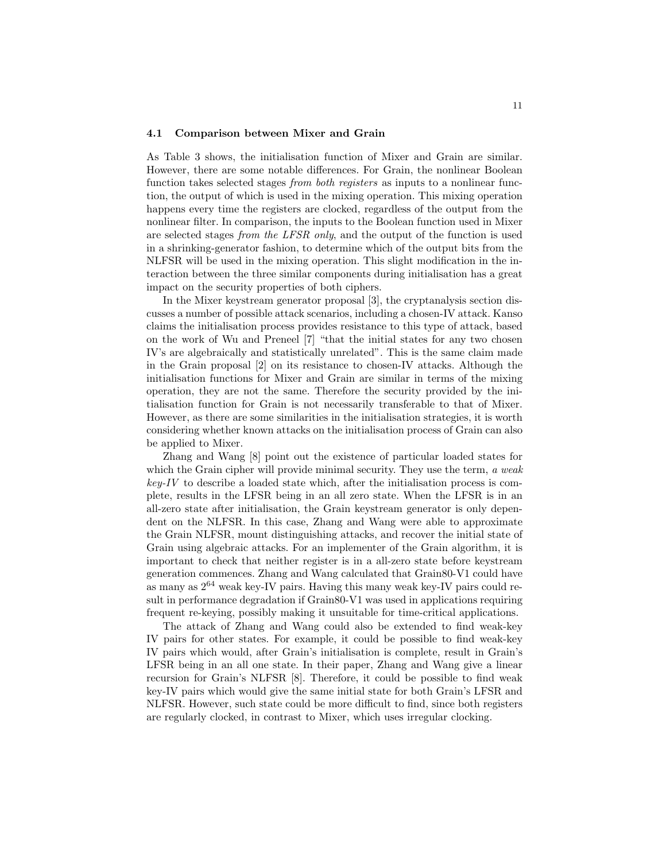#### 4.1 Comparison between Mixer and Grain

As Table 3 shows, the initialisation function of Mixer and Grain are similar. However, there are some notable differences. For Grain, the nonlinear Boolean function takes selected stages from both registers as inputs to a nonlinear function, the output of which is used in the mixing operation. This mixing operation happens every time the registers are clocked, regardless of the output from the nonlinear filter. In comparison, the inputs to the Boolean function used in Mixer are selected stages from the LFSR only, and the output of the function is used in a shrinking-generator fashion, to determine which of the output bits from the NLFSR will be used in the mixing operation. This slight modification in the interaction between the three similar components during initialisation has a great impact on the security properties of both ciphers.

In the Mixer keystream generator proposal [3], the cryptanalysis section discusses a number of possible attack scenarios, including a chosen-IV attack. Kanso claims the initialisation process provides resistance to this type of attack, based on the work of Wu and Preneel [7] "that the initial states for any two chosen IV's are algebraically and statistically unrelated". This is the same claim made in the Grain proposal [2] on its resistance to chosen-IV attacks. Although the initialisation functions for Mixer and Grain are similar in terms of the mixing operation, they are not the same. Therefore the security provided by the initialisation function for Grain is not necessarily transferable to that of Mixer. However, as there are some similarities in the initialisation strategies, it is worth considering whether known attacks on the initialisation process of Grain can also be applied to Mixer.

Zhang and Wang [8] point out the existence of particular loaded states for which the Grain cipher will provide minimal security. They use the term, a weak  $key$ -IV to describe a loaded state which, after the initialisation process is complete, results in the LFSR being in an all zero state. When the LFSR is in an all-zero state after initialisation, the Grain keystream generator is only dependent on the NLFSR. In this case, Zhang and Wang were able to approximate the Grain NLFSR, mount distinguishing attacks, and recover the initial state of Grain using algebraic attacks. For an implementer of the Grain algorithm, it is important to check that neither register is in a all-zero state before keystream generation commences. Zhang and Wang calculated that Grain80-V1 could have as many as 2<sup>64</sup> weak key-IV pairs. Having this many weak key-IV pairs could result in performance degradation if Grain80-V1 was used in applications requiring frequent re-keying, possibly making it unsuitable for time-critical applications.

The attack of Zhang and Wang could also be extended to find weak-key IV pairs for other states. For example, it could be possible to find weak-key IV pairs which would, after Grain's initialisation is complete, result in Grain's LFSR being in an all one state. In their paper, Zhang and Wang give a linear recursion for Grain's NLFSR [8]. Therefore, it could be possible to find weak key-IV pairs which would give the same initial state for both Grain's LFSR and NLFSR. However, such state could be more difficult to find, since both registers are regularly clocked, in contrast to Mixer, which uses irregular clocking.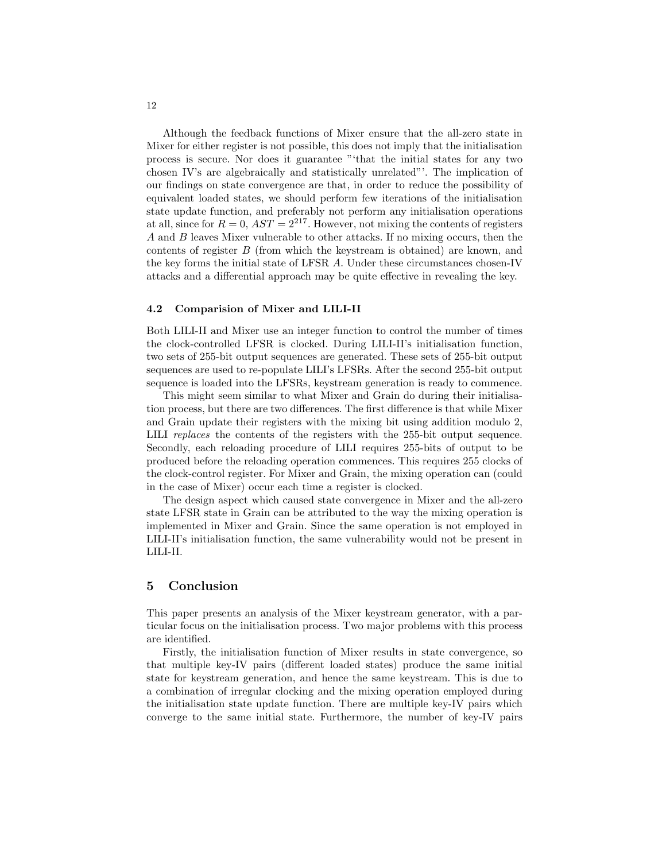Although the feedback functions of Mixer ensure that the all-zero state in Mixer for either register is not possible, this does not imply that the initialisation process is secure. Nor does it guarantee "'that the initial states for any two chosen IV's are algebraically and statistically unrelated"'. The implication of our findings on state convergence are that, in order to reduce the possibility of equivalent loaded states, we should perform few iterations of the initialisation state update function, and preferably not perform any initialisation operations at all, since for  $R = 0$ ,  $AST = 2^{217}$ . However, not mixing the contents of registers A and B leaves Mixer vulnerable to other attacks. If no mixing occurs, then the contents of register  $B$  (from which the keystream is obtained) are known, and the key forms the initial state of LFSR A. Under these circumstances chosen-IV attacks and a differential approach may be quite effective in revealing the key.

#### 4.2 Comparision of Mixer and LILI-II

Both LILI-II and Mixer use an integer function to control the number of times the clock-controlled LFSR is clocked. During LILI-II's initialisation function, two sets of 255-bit output sequences are generated. These sets of 255-bit output sequences are used to re-populate LILI's LFSRs. After the second 255-bit output sequence is loaded into the LFSRs, keystream generation is ready to commence.

This might seem similar to what Mixer and Grain do during their initialisation process, but there are two differences. The first difference is that while Mixer and Grain update their registers with the mixing bit using addition modulo 2, LILI replaces the contents of the registers with the 255-bit output sequence. Secondly, each reloading procedure of LILI requires 255-bits of output to be produced before the reloading operation commences. This requires 255 clocks of the clock-control register. For Mixer and Grain, the mixing operation can (could in the case of Mixer) occur each time a register is clocked.

The design aspect which caused state convergence in Mixer and the all-zero state LFSR state in Grain can be attributed to the way the mixing operation is implemented in Mixer and Grain. Since the same operation is not employed in LILI-II's initialisation function, the same vulnerability would not be present in LILI-II.

# 5 Conclusion

This paper presents an analysis of the Mixer keystream generator, with a particular focus on the initialisation process. Two major problems with this process are identified.

Firstly, the initialisation function of Mixer results in state convergence, so that multiple key-IV pairs (different loaded states) produce the same initial state for keystream generation, and hence the same keystream. This is due to a combination of irregular clocking and the mixing operation employed during the initialisation state update function. There are multiple key-IV pairs which converge to the same initial state. Furthermore, the number of key-IV pairs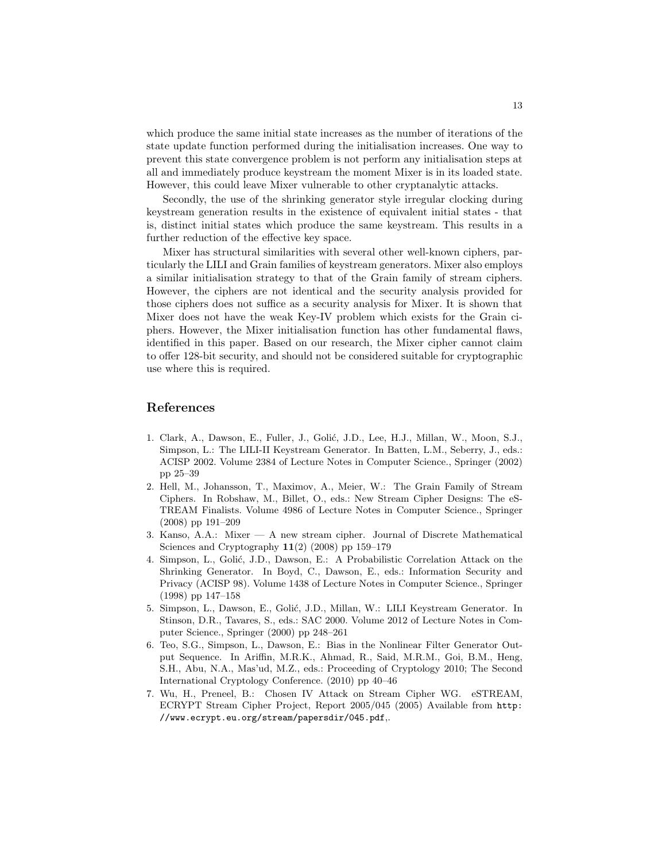which produce the same initial state increases as the number of iterations of the state update function performed during the initialisation increases. One way to prevent this state convergence problem is not perform any initialisation steps at all and immediately produce keystream the moment Mixer is in its loaded state. However, this could leave Mixer vulnerable to other cryptanalytic attacks.

Secondly, the use of the shrinking generator style irregular clocking during keystream generation results in the existence of equivalent initial states - that is, distinct initial states which produce the same keystream. This results in a further reduction of the effective key space.

Mixer has structural similarities with several other well-known ciphers, particularly the LILI and Grain families of keystream generators. Mixer also employs a similar initialisation strategy to that of the Grain family of stream ciphers. However, the ciphers are not identical and the security analysis provided for those ciphers does not suffice as a security analysis for Mixer. It is shown that Mixer does not have the weak Key-IV problem which exists for the Grain ciphers. However, the Mixer initialisation function has other fundamental flaws, identified in this paper. Based on our research, the Mixer cipher cannot claim to offer 128-bit security, and should not be considered suitable for cryptographic use where this is required.

# References

- 1. Clark, A., Dawson, E., Fuller, J., Golić, J.D., Lee, H.J., Millan, W., Moon, S.J., Simpson, L.: The LILI-II Keystream Generator. In Batten, L.M., Seberry, J., eds.: ACISP 2002. Volume 2384 of Lecture Notes in Computer Science., Springer (2002) pp 25–39
- 2. Hell, M., Johansson, T., Maximov, A., Meier, W.: The Grain Family of Stream Ciphers. In Robshaw, M., Billet, O., eds.: New Stream Cipher Designs: The eS-TREAM Finalists. Volume 4986 of Lecture Notes in Computer Science., Springer (2008) pp 191–209
- 3. Kanso, A.A.: Mixer A new stream cipher. Journal of Discrete Mathematical Sciences and Cryptography  $11(2)$  (2008) pp 159–179
- 4. Simpson, L., Golić, J.D., Dawson, E.: A Probabilistic Correlation Attack on the Shrinking Generator. In Boyd, C., Dawson, E., eds.: Information Security and Privacy (ACISP 98). Volume 1438 of Lecture Notes in Computer Science., Springer (1998) pp 147–158
- 5. Simpson, L., Dawson, E., Goli´c, J.D., Millan, W.: LILI Keystream Generator. In Stinson, D.R., Tavares, S., eds.: SAC 2000. Volume 2012 of Lecture Notes in Computer Science., Springer (2000) pp 248–261
- 6. Teo, S.G., Simpson, L., Dawson, E.: Bias in the Nonlinear Filter Generator Output Sequence. In Ariffin, M.R.K., Ahmad, R., Said, M.R.M., Goi, B.M., Heng, S.H., Abu, N.A., Mas'ud, M.Z., eds.: Proceeding of Cryptology 2010; The Second International Cryptology Conference. (2010) pp 40–46
- 7. Wu, H., Preneel, B.: Chosen IV Attack on Stream Cipher WG. eSTREAM, ECRYPT Stream Cipher Project, Report 2005/045 (2005) Available from http: //www.ecrypt.eu.org/stream/papersdir/045.pdf,.